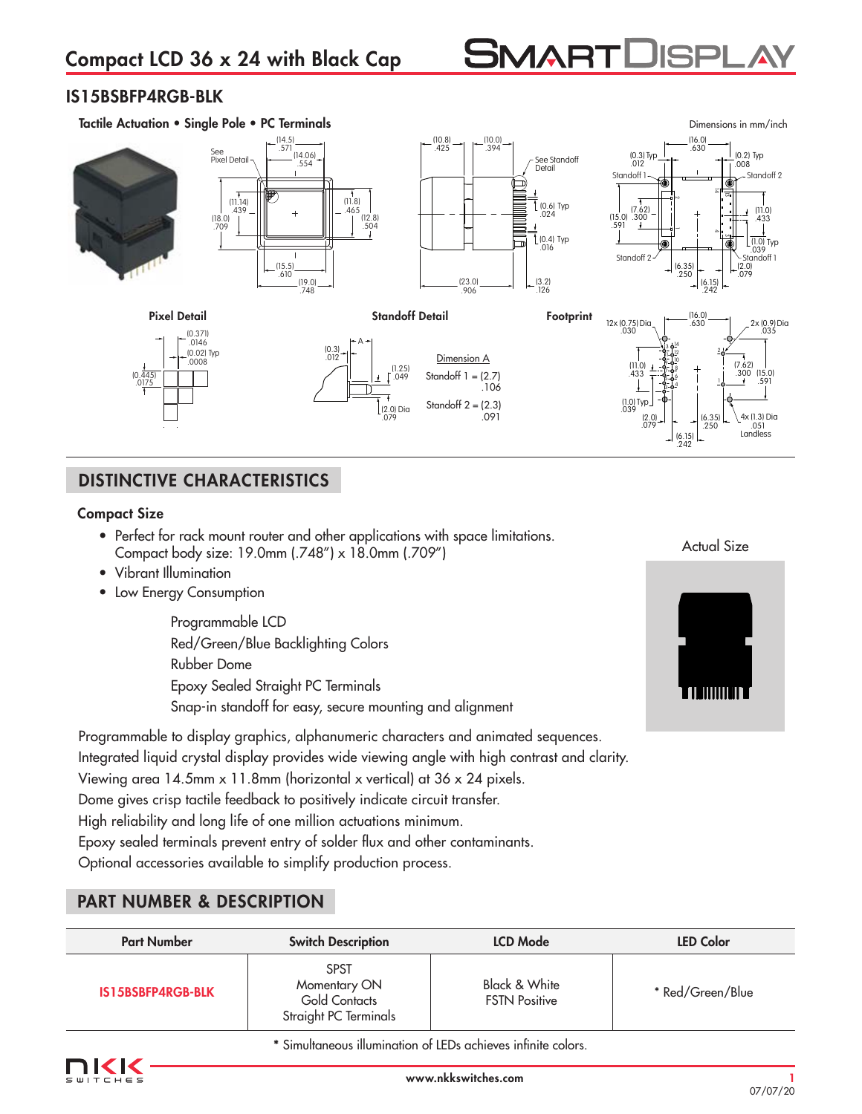# **SMARTDISPL**

## IS15BSBFP4RGB-BLK



## DISTINCTIVE CHARACTERISTICS

## Compact Size

- Perfect for rack mount router and other applications with space limitations. Compact body size: 19.0mm (.748") x 18.0mm (.709")
- Vibrant Illumination
- Low Energy Consumption

Programmable LCD Red/Green/Blue Backlighting Colors Rubber Dome Epoxy Sealed Straight PC Terminals Snap-in standoff for easy, secure mounting and alignment Actual Size



Programmable to display graphics, alphanumeric characters and animated sequences. Integrated liquid crystal display provides wide viewing angle with high contrast and clarity. Viewing area 14.5mm x 11.8mm (horizontal x vertical) at 36 x 24 pixels. Dome gives crisp tactile feedback to positively indicate circuit transfer. High reliability and long life of one million actuations minimum. Epoxy sealed terminals prevent entry of solder flux and other contaminants. Optional accessories available to simplify production process.

## PART NUMBER & DESCRIPTION

| <b>Part Number</b> | <b>Switch Description</b>                                                    | <b>LCD Mode</b>                       | <b>LED Color</b> |
|--------------------|------------------------------------------------------------------------------|---------------------------------------|------------------|
| IS15BSBFP4RGB-BLK  | <b>SPST</b><br>Momentary ON<br><b>Gold Contacts</b><br>Straight PC Terminals | Black & White<br><b>FSTN Positive</b> | * Red/Green/Blue |

**\*** Simultaneous illumination of LEDs achieves infinite colors.

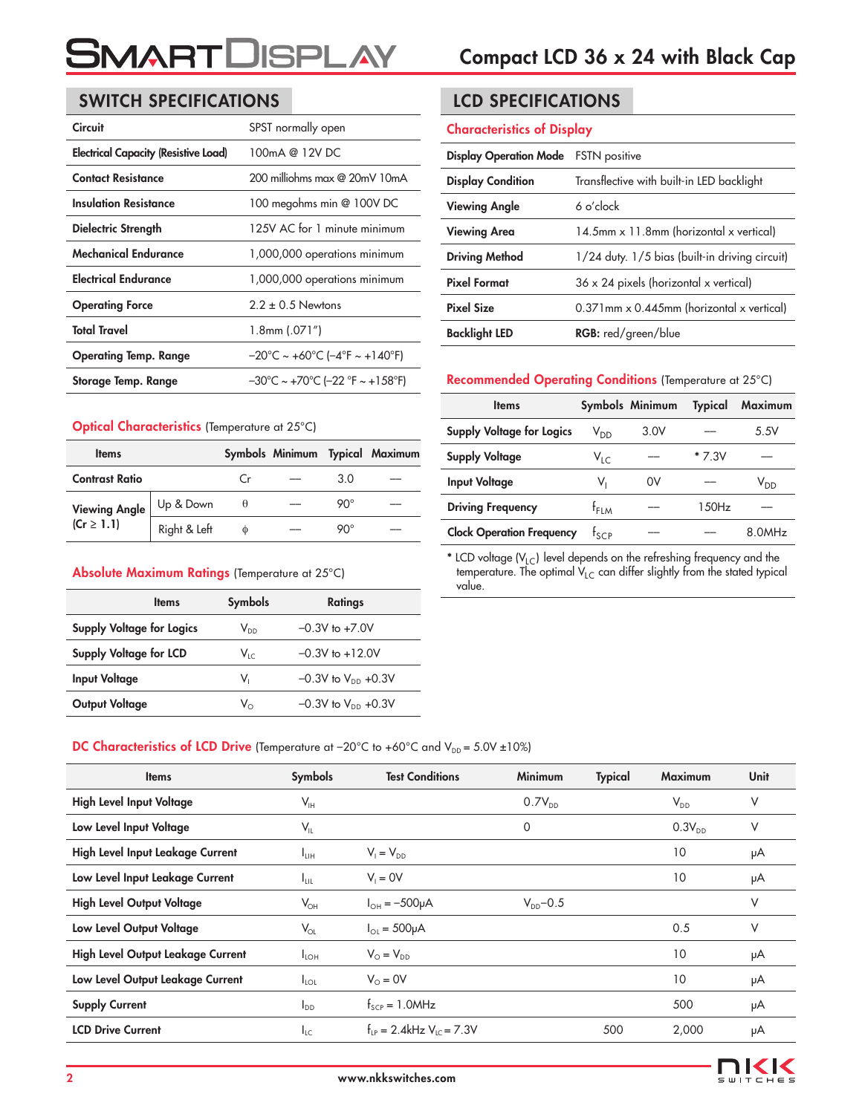## SWITCH SPECIFICATIONS LCD SPECIFICATIONS

| <b>Circuit</b>                              | SPST normally open                                                       |
|---------------------------------------------|--------------------------------------------------------------------------|
| <b>Electrical Capacity (Resistive Load)</b> | 100mA @ 12V DC                                                           |
| <b>Contact Resistance</b>                   | 200 milliohms max @ 20mV 10mA                                            |
| Insulation Resistance                       | 100 megohms min @ 100V DC                                                |
| Dielectric Strength                         | 125V AC for 1 minute minimum                                             |
| Mechanical Endurance                        | 1,000,000 operations minimum                                             |
| <b>Electrical Endurance</b>                 | 1,000,000 operations minimum                                             |
| <b>Operating Force</b>                      | $2.2 \pm 0.5$ Newtons                                                    |
| <b>Total Travel</b>                         | 1.8mm (.071″)                                                            |
| <b>Operating Temp. Range</b>                | $-20^{\circ}$ C ~ +60 $^{\circ}$ C (-4 $^{\circ}$ F ~ +140 $^{\circ}$ F) |
| Storage Temp. Range                         | $-30^{\circ}$ C ~ +70°C (-22 °F ~ +158°F)                                |

#### Optical Characteristics (Temperature at 25°C)

| <b>Items</b>                           |              |    |     | Symbols Minimum Typical Maximum |
|----------------------------------------|--------------|----|-----|---------------------------------|
| <b>Contrast Ratio</b>                  |              | (r | 3 O |                                 |
| <b>Viewing Angle</b><br>$(Cr \ge 1.1)$ | Up & Down    | θ  | റ∩∘ |                                 |
|                                        | Right & Left | Φ  | ୨୦୯ |                                 |

#### Absolute Maximum Ratings (Temperature at 25°C)

| <b>Items</b>                  | <b>Symbols</b> | Ratings                   |
|-------------------------------|----------------|---------------------------|
| Supply Voltage for Logics     | $V_{DD}$       | $-0.3V$ to $+7.0V$        |
| <b>Supply Voltage for LCD</b> | $V_{1c}$       | $-0.3V$ to $+12.0V$       |
| <b>Input Voltage</b>          | V.             | $-0.3V$ to $V_{DD}$ +0.3V |
| Output Voltage                | V.             | $-0.3V$ to $V_{DD}$ +0.3V |

#### Characteristics of Display

| <b>Display Operation Mode</b> | <b>FSTN</b> positive                           |
|-------------------------------|------------------------------------------------|
| <b>Display Condition</b>      | Transflective with built-in LED backlight      |
| <b>Viewing Angle</b>          | 6 o'clock                                      |
| <b>Viewing Area</b>           | 14.5mm x 11.8mm (horizontal x vertical)        |
| <b>Driving Method</b>         | 1/24 duty. 1/5 bias (built-in driving circuit) |
| <b>Pixel Format</b>           | $36 \times 24$ pixels (horizontal x vertical)  |
| <b>Pixel Size</b>             | 0.371mm x 0.445mm (horizontal x vertical)      |
| <b>Backlight LED</b>          | <b>RGB:</b> red/green/blue                     |

#### Recommended Operating Conditions (Temperature at 25°C)

| <b>Items</b>                     |                  | Symbols Minimum | <b>Typical</b> | Maximum         |
|----------------------------------|------------------|-----------------|----------------|-----------------|
| <b>Supply Voltage for Logics</b> | V <sub>DD</sub>  | 3.0V            |                | 5.5V            |
| <b>Supply Voltage</b>            | $V_{\text{LC}}$  |                 | * 7.3V         |                 |
| <b>Input Voltage</b>             | V,               | 0V              |                | V <sub>DD</sub> |
| <b>Driving Frequency</b>         | <sup>†</sup> FLM |                 | 150Hz          |                 |
| <b>Clock Operation Frequency</b> | tscp             |                 |                | 8.0MHz          |

\* LCD voltage (V<sub>LC</sub>) level depends on the refreshing frequency and the temperature. The optimal  $V_{LC}$  can differ slightly from the stated typical value.

#### DC Characteristics of LCD Drive (Temperature at -20°C to +60°C and  $V_{DD} = 5.0V \pm 10\%$ )

| <b>Items</b>                      | <b>Symbols</b>   | <b>Test Conditions</b>                    | <b>Minimum</b> | <b>Typical</b> | <b>Maximum</b> | <b>Unit</b> |
|-----------------------------------|------------------|-------------------------------------------|----------------|----------------|----------------|-------------|
| <b>High Level Input Voltage</b>   | $V_{\text{IH}}$  |                                           | $0.7V_{DD}$    |                | $V_{DD}$       | ٧           |
| Low Level Input Voltage           | $V_{IL}$         |                                           | 0              |                | $0.3V_{DD}$    | ٧           |
| High Level Input Leakage Current  | Īш               | $V_1 = V_{DD}$                            |                |                | 10             | μA          |
| Low Level Input Leakage Current   | I <sub>LIL</sub> | $V_i = 0V$                                |                |                | 10             | μA          |
| <b>High Level Output Voltage</b>  | $V_{OH}$         | $I_{OH} = -500 \mu A$                     | $V_{DD}$ –0.5  |                |                | V           |
| Low Level Output Voltage          | $V_{OL}$         | $I_{\text{O}} = 500 \mu A$                |                |                | 0.5            | ٧           |
| High Level Output Leakage Current | $I_{LOH}$        | $V_{\odot} = V_{\rm DD}$                  |                |                | 10             | μA          |
| Low Level Output Leakage Current  | $I_{\text{LOL}}$ | $V_0 = 0V$                                |                |                | 10             | μA          |
| <b>Supply Current</b>             | $I_{DD}$         | $f_{\text{SCP}} = 1.0$ MHz                |                |                | 500            | μA          |
| <b>LCD Drive Current</b>          | $I_{LC}$         | $f_{LP} = 2.4$ kHz V <sub>IC</sub> = 7.3V |                | 500            | 2,000          | μA          |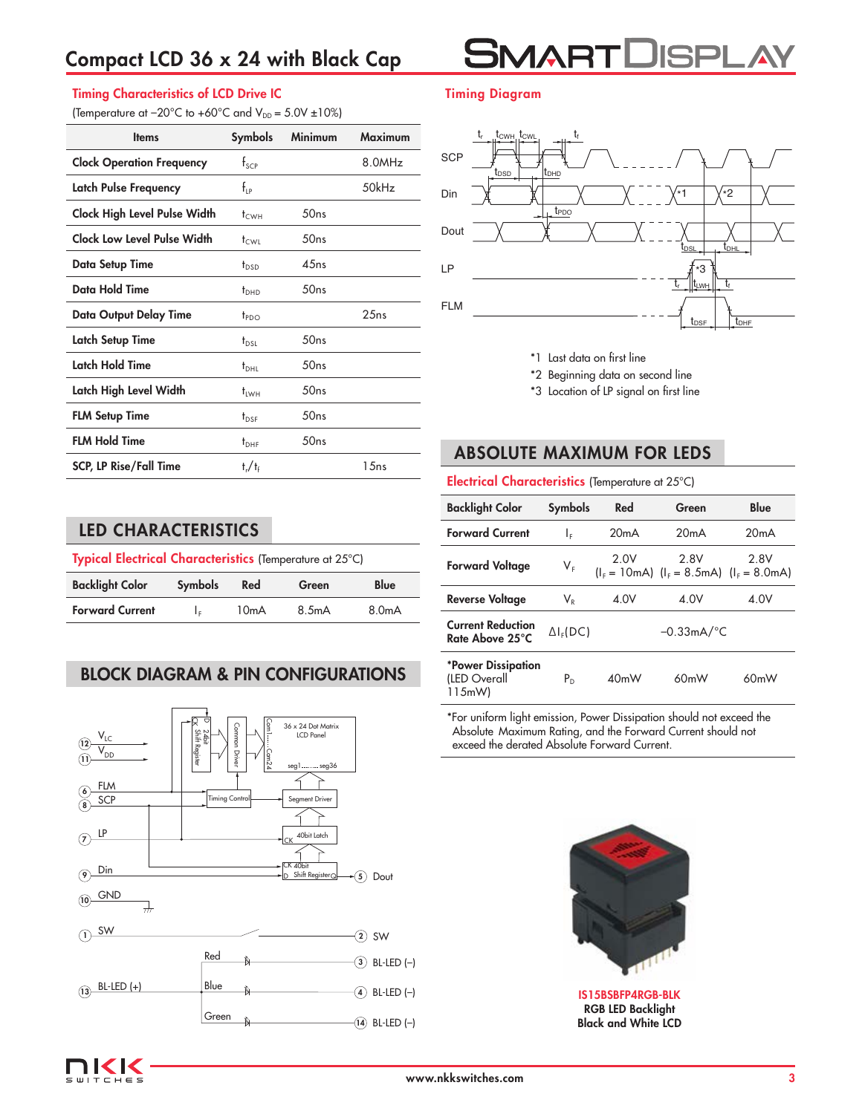## Compact LCD 36 x 24 with Black Cap



#### Timing Characteristics of LCD Drive IC

(Temperature at  $-20^{\circ}$ C to  $+60^{\circ}$ C and  $V_{DD} = 5.0V \pm 10\%$ )

| <b>Items</b>                        | <b>Symbols</b>        | <b>Minimum</b> | <b>Maximum</b> |
|-------------------------------------|-----------------------|----------------|----------------|
| <b>Clock Operation Frequency</b>    | $f_{\text{SCP}}$      |                | 8.0MHz         |
| Latch Pulse Frequency               | $f_{\rm LP}$          |                | 50kHz          |
| <b>Clock High Level Pulse Width</b> | t <sub>CWH</sub>      | 50ns           |                |
| <b>Clock Low Level Pulse Width</b>  | t <sub>cwi</sub>      | 50ns           |                |
| Data Setup Time                     | t <sub>nsn</sub>      | 4.5ns          |                |
| <b>Data Hold Time</b>               | $t_{DHD}$             | 50ns           |                |
| <b>Data Output Delay Time</b>       | $t_{PDO}$             |                | 25ns           |
| <b>Latch Setup Time</b>             | t <sub>DSL</sub>      | 50ns           |                |
| Latch Hold Time                     | $t_{\rm DHL}$         | 50ns           |                |
| Latch High Level Width              | $t_{\rm IWH}$         | 50ns           |                |
| <b>FLM Setup Time</b>               | $t_{\text{DSE}}$      | 50ns           |                |
| <b>FLM Hold Time</b>                | $t_{\text{DHF}}$      | 50ns           |                |
| <b>SCP, LP Rise/Fall Time</b>       | $t_{\rm r}/t_{\rm f}$ |                | 1.5ns          |

### Timing Diagram



- \*1 Last data on first line
- \*2 Beginning data on second line
- \*3 Location of LP signal on first line

## ABSOLUTE MAXIMUM FOR LEDS

Electrical Characteristics (Temperature at 25°C)

| <b>Backlight Color</b>                              | <b>Symbols</b>                                | Red               | Green                                            | Blue |
|-----------------------------------------------------|-----------------------------------------------|-------------------|--------------------------------------------------|------|
| <b>Forward Current</b>                              | ΙF                                            | 20mA              | 20mA                                             | 20mA |
| <b>Forward Voltage</b>                              | $V_{F}$                                       | 2.0V              | 2.8V<br>$I_F = 10mA$ $I_F = 8.5mA$ $I_F = 8.0mA$ | 2.8V |
| <b>Reverse Voltage</b>                              | $\mathsf{V}_{\scriptscriptstyle{\mathsf{R}}}$ | 4.0V              | 4.0V                                             | 4.0V |
| <b>Current Reduction</b><br>Rate Above 25°C         | $\Delta I_F(DC)$                              |                   | $-0.33mA$ <sup>o</sup> C                         |      |
| <b>*Power Dissipation</b><br>(LED Overall<br>115mW) | P <sub>n</sub>                                | 40 <sub>m</sub> W | 60 <sub>m</sub> W                                | 60mW |

\*For uniform light emission, Power Dissipation should not exceed the Absolute Maximum Rating, and the Forward Current should not exceed the derated Absolute Forward Current.



IS15BSBFP4RGB-BLK RGB LED Backlight Black and White LCD

## LED CHARACTERISTICS

| Typical Electrical Characteristics (Temperature at 25°C) |                |                   |       |                    |
|----------------------------------------------------------|----------------|-------------------|-------|--------------------|
| <b>Backlight Color</b>                                   | <b>Symbols</b> | Red               | Green | Blue               |
| <b>Forward Current</b>                                   | Ιc.            | 10 <sub>m</sub> A | 8.5mA | 8.0 <sub>m</sub> A |

## BLOCK DIAGRAM & PIN CONFIGURATIONS